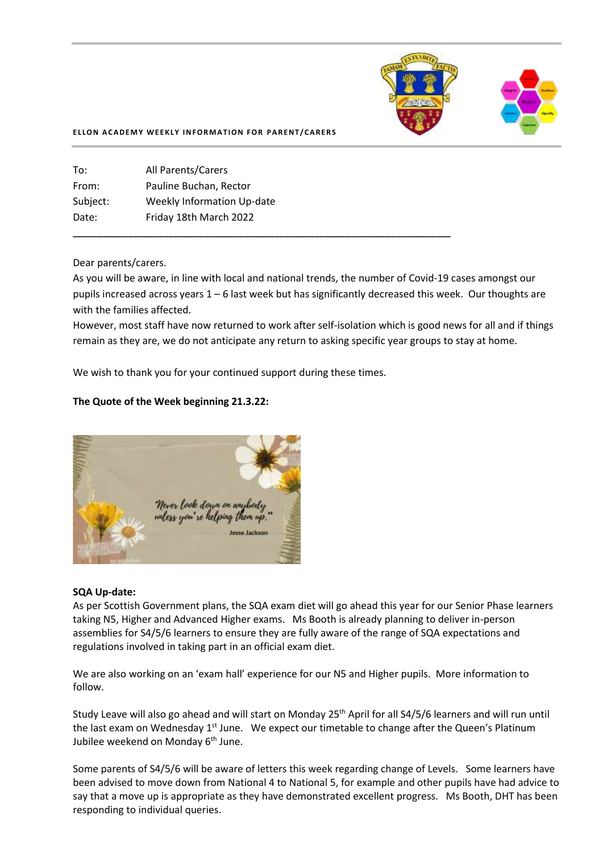

#### **ELLON ACADEMY WEEKLY INFORMATION FOR PARENT/CARERS**

| Date:    | Friday 18th March 2022     |
|----------|----------------------------|
| Subject: | Weekly Information Up-date |
| From:    | Pauline Buchan, Rector     |
| To:      | All Parents/Carers         |

### Dear parents/carers.

As you will be aware, in line with local and national trends, the number of Covid-19 cases amongst our pupils increased across years 1 – 6 last week but has significantly decreased this week. Our thoughts are with the families affected.

However, most staff have now returned to work after self-isolation which is good news for all and if things remain as they are, we do not anticipate any return to asking specific year groups to stay at home.

We wish to thank you for your continued support during these times.

## **The Quote of the Week beginning 21.3.22:**



#### **SQA Up-date:**

As per Scottish Government plans, the SQA exam diet will go ahead this year for our Senior Phase learners taking N5, Higher and Advanced Higher exams. Ms Booth is already planning to deliver in-person assemblies for S4/5/6 learners to ensure they are fully aware of the range of SQA expectations and regulations involved in taking part in an official exam diet.

We are also working on an 'exam hall' experience for our N5 and Higher pupils. More information to follow.

Study Leave will also go ahead and will start on Monday 25<sup>th</sup> April for all S4/5/6 learners and will run until the last exam on Wednesday  $1<sup>st</sup>$  June. We expect our timetable to change after the Queen's Platinum Jubilee weekend on Monday 6<sup>th</sup> June.

Some parents of S4/5/6 will be aware of letters this week regarding change of Levels. Some learners have been advised to move down from National 4 to National 5, for example and other pupils have had advice to say that a move up is appropriate as they have demonstrated excellent progress. Ms Booth, DHT has been responding to individual queries.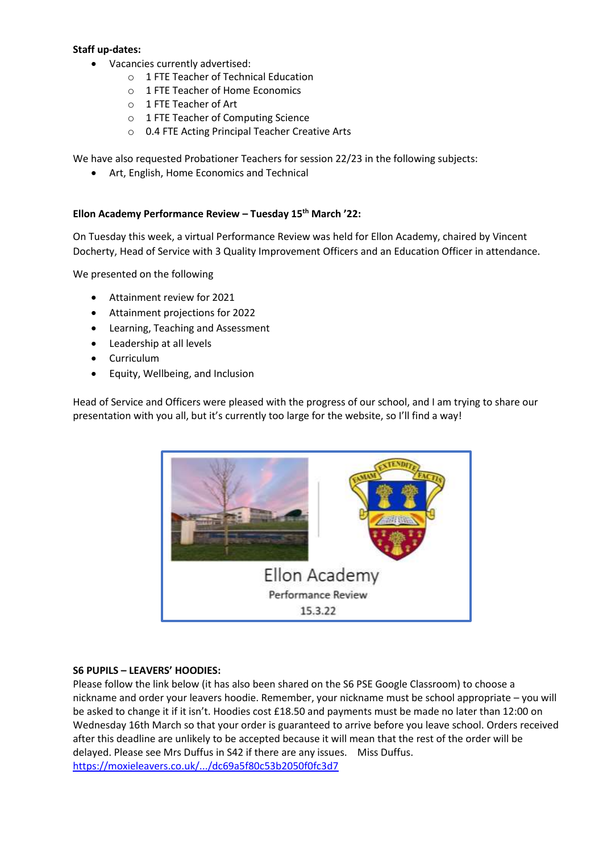## **Staff up-dates:**

- Vacancies currently advertised:
	- o 1 FTE Teacher of Technical Education
	- o 1 FTE Teacher of Home Economics
	- o 1 FTE Teacher of Art
	- o 1 FTE Teacher of Computing Science
	- o 0.4 FTE Acting Principal Teacher Creative Arts

We have also requested Probationer Teachers for session 22/23 in the following subjects:

• Art, English, Home Economics and Technical

## **Ellon Academy Performance Review – Tuesday 15th March '22:**

On Tuesday this week, a virtual Performance Review was held for Ellon Academy, chaired by Vincent Docherty, Head of Service with 3 Quality Improvement Officers and an Education Officer in attendance.

We presented on the following

- Attainment review for 2021
- Attainment projections for 2022
- Learning, Teaching and Assessment
- Leadership at all levels
- Curriculum
- Equity, Wellbeing, and Inclusion

Head of Service and Officers were pleased with the progress of our school, and I am trying to share our presentation with you all, but it's currently too large for the website, so I'll find a way!



## **S6 PUPILS – LEAVERS' HOODIES:**

Please follow the link below (it has also been shared on the S6 PSE Google Classroom) to choose a nickname and order your leavers hoodie. Remember, your nickname must be school appropriate – you will be asked to change it if it isn't. Hoodies cost £18.50 and payments must be made no later than 12:00 on Wednesday 16th March so that your order is guaranteed to arrive before you leave school. Orders received after this deadline are unlikely to be accepted because it will mean that the rest of the order will be delayed. Please see Mrs Duffus in S42 if there are any issues. Miss Duffus. [https://moxieleavers.co.uk/.../dc69a5f80c53b2050f0fc3d7](https://moxieleavers.co.uk/hoodie/OMnE23VDUJsiFH7tOZ0U/dc69a5f80c53b2050f0fc3d7?fbclid=IwAR1zMwQrRyNSzYnfZlKdANaOIse8StFLXEBoYQ0DQ-Hii_j_7y9EKa_kVqU)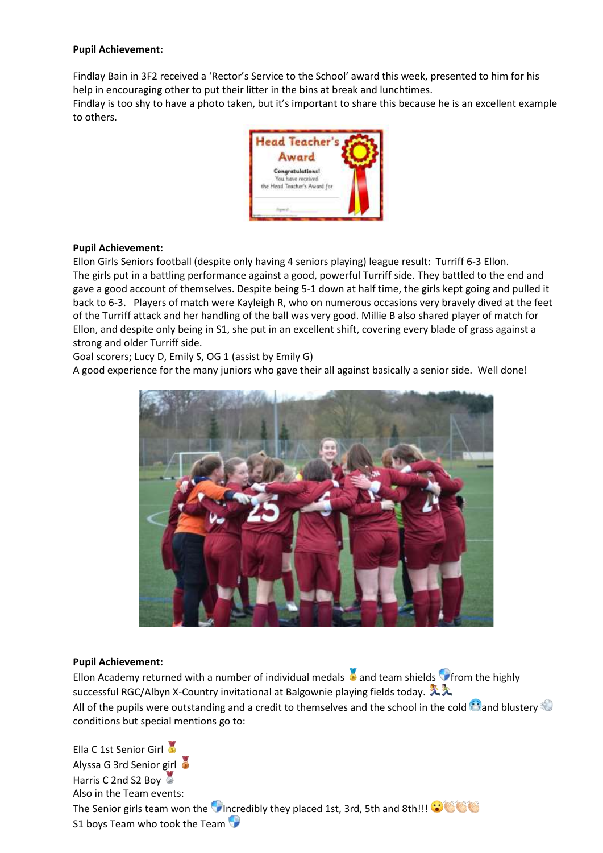### **Pupil Achievement:**

Findlay Bain in 3F2 received a 'Rector's Service to the School' award this week, presented to him for his help in encouraging other to put their litter in the bins at break and lunchtimes.

Findlay is too shy to have a photo taken, but it's important to share this because he is an excellent example to others.



#### **Pupil Achievement:**

Ellon Girls Seniors football (despite only having 4 seniors playing) league result: Turriff 6-3 Ellon. The girls put in a battling performance against a good, powerful Turriff side. They battled to the end and gave a good account of themselves. Despite being 5-1 down at half time, the girls kept going and pulled it back to 6-3. Players of match were Kayleigh R, who on numerous occasions very bravely dived at the feet of the Turriff attack and her handling of the ball was very good. Millie B also shared player of match for Ellon, and despite only being in S1, she put in an excellent shift, covering every blade of grass against a strong and older Turriff side.

Goal scorers; Lucy D, Emily S, OG 1 (assist by Emily G)

A good experience for the many juniors who gave their all against basically a senior side. Well done!



#### **Pupil Achievement:**

Ellon Academy returned with a number of individual medals  $\bullet$  and team shields  $\bullet$  from the highly successful RGC/Albyn X-Country invitational at Balgownie playing fields today. 文义 All of the pupils were outstanding and a credit to themselves and the school in the cold  $\Theta$  and blustery conditions but special mentions go to:

Ella C 1st Senior Girl Alyssa G 3rd Senior girl Harris C 2nd S2 Boy Also in the Team events: The Senior girls team won the Uncredibly they placed 1st, 3rd, 5th and 8th!!! **2000** S1 boys Team who took the Team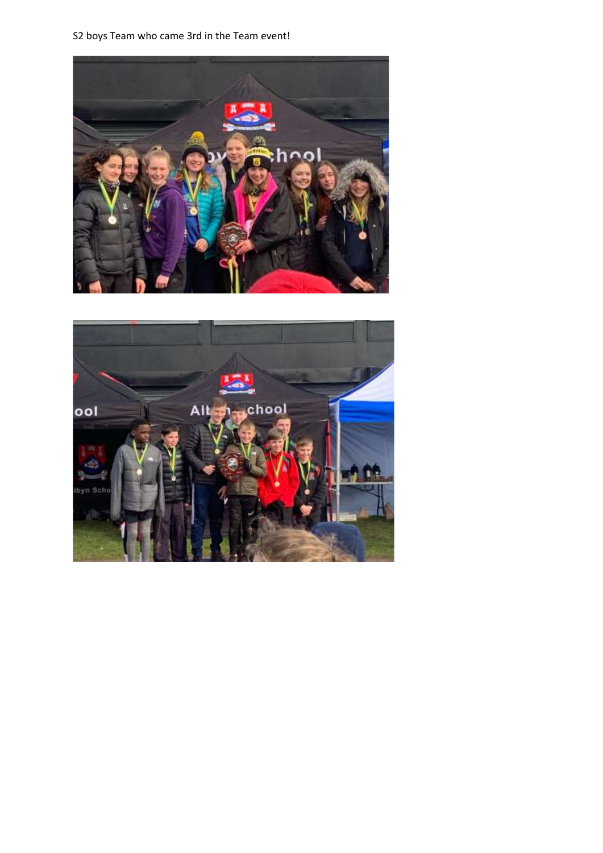S2 boys Team who came 3rd in the Team event!



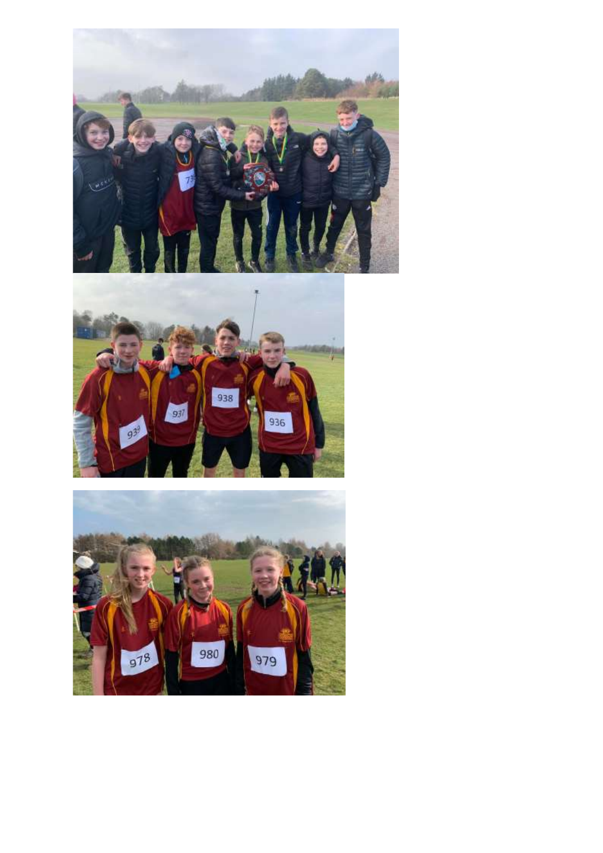



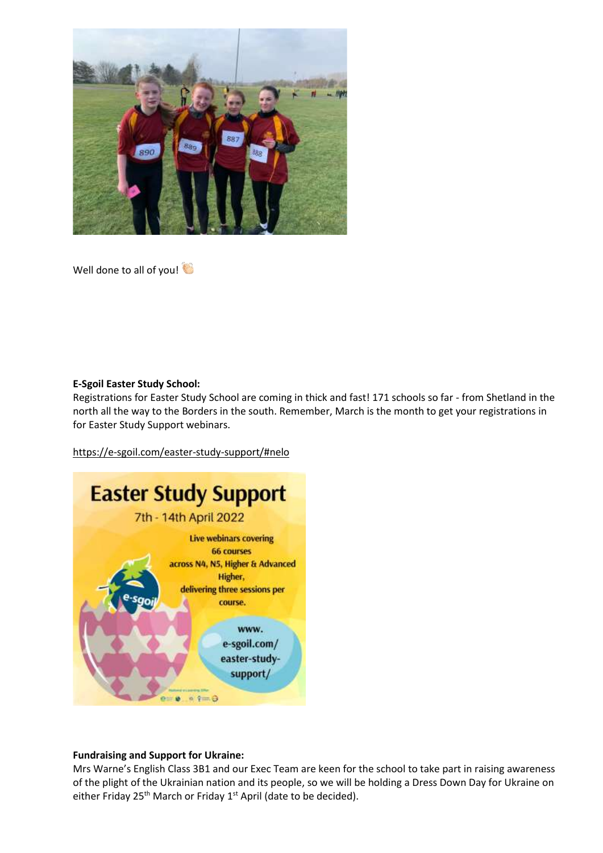

Well done to all of you!

## **[E-Sgoil](https://www.facebook.com/eSgoil/?__cft__%5b0%5d=AZUUPYIWGGHRyTHjk47nu6ritchsdr74bMqzsUnws_2BI8NPAisz_-wD5oSPitEHtMf5GRRRhNtPPjwZwKpDNSzmNl464GE2aXlLaROgycTWFtDcWMyFDxv7ecIIvfXKizKBygZQSJaDDQWr3DBaUYsA1ygT9xOn4we0fOalWg8-6fOZ6yzRrgZGpySWj4FrR8Avqh2i1m6wrZI2ZJpsFTCzI9pkm2xUnC6berIYUhVazA&__tn__=-UC%2CP-y-R) Easter Study School:**

Registrations for Easter Study School are coming in thick and fast! 171 schools so far - from Shetland in the north all the way to the Borders in the south. Remember, March is the month to get your registrations in for Easter Study Support webinars.

[https://e-sgoil.com/easter-study-support/](https://e-sgoil.com/easter-study-support/?fbclid=IwAR2gzKKvbnQ8XjKnsxPIamEzEC0P33RS6531v_B7oe-zFt1UPgNosCUoA7c)[#nelo](https://www.facebook.com/hashtag/nelo?__eep__=6&__cft__%5b0%5d=AZUUPYIWGGHRyTHjk47nu6ritchsdr74bMqzsUnws_2BI8NPAisz_-wD5oSPitEHtMf5GRRRhNtPPjwZwKpDNSzmNl464GE2aXlLaROgycTWFtDcWMyFDxv7ecIIvfXKizKBygZQSJaDDQWr3DBaUYsA1ygT9xOn4we0fOalWg8-6fOZ6yzRrgZGpySWj4FrR8Avqh2i1m6wrZI2ZJpsFTCzI9pkm2xUnC6berIYUhVazA&__tn__=*NK-y-R)



## **Fundraising and Support for Ukraine:**

Mrs Warne's English Class 3B1 and our Exec Team are keen for the school to take part in raising awareness of the plight of the Ukrainian nation and its people, so we will be holding a Dress Down Day for Ukraine on either Friday 25<sup>th</sup> March or Friday 1<sup>st</sup> April (date to be decided).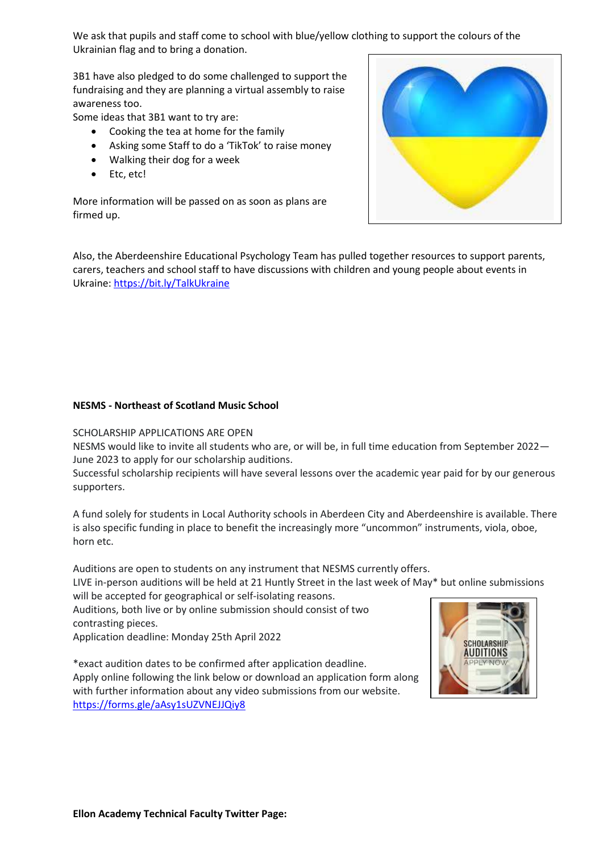We ask that pupils and staff come to school with blue/yellow clothing to support the colours of the Ukrainian flag and to bring a donation.

3B1 have also pledged to do some challenged to support the fundraising and they are planning a virtual assembly to raise awareness too.

Some ideas that 3B1 want to try are:

- Cooking the tea at home for the family
- Asking some Staff to do a 'TikTok' to raise money
- Walking their dog for a week
- Etc, etc!

More information will be passed on as soon as plans are firmed up.



Also, the Aberdeenshire Educational Psychology Team has pulled together resources to support parents, carers, teachers and school staff to have discussions with children and young people about events in Ukraine[: https://bit.ly/TalkUkraine](https://bit.ly/TalkUkraine?fbclid=IwAR2k621Z1i3sFgPgv59dLjog379XtjqnRk6QzYIokM0TfhSVSoT-f8Qyl5U)

## **NESMS - [Northeast](https://www.facebook.com/NESMSAberdeen/?__cft__%5b0%5d=AZXK6TfB5nYA6LVLncucwq4_TDdaE9x-cXjKDCFo1t2hG6KDVI3TsVz-s0q0-QtSToMoNHY6h2z-z13BLEVaKQVBQZjbA__ejCo8GrBY_p4bwMaBanGlJLYl5WXnf8v4A689Wo8v7jXqDTQm32ZbmcEtoFsHv_HUzO_V75lj1A6QP9tMI2p4Rg4I2PMD8ksMISQ9XM1uOr5_DpFGI7eLamElF7m9GK0s4t-sZQKIK76ZmQ&__tn__=-UC%2CP-y-R) of Scotland Music School**

## SCHOLARSHIP APPLICATIONS ARE OPEN

NESMS would like to invite all students who are, or will be, in full time education from September 2022— June 2023 to apply for our scholarship auditions.

Successful scholarship recipients will have several lessons over the academic year paid for by our generous supporters.

A fund solely for students in Local Authority schools in Aberdeen City and Aberdeenshire is available. There is also specific funding in place to benefit the increasingly more "uncommon" instruments, viola, oboe, horn etc.

Auditions are open to students on any instrument that NESMS currently offers.

LIVE in-person auditions will be held at 21 Huntly Street in the last week of May\* but online submissions will be accepted for geographical or self-isolating reasons.

Auditions, both live or by online submission should consist of two contrasting pieces.

Application deadline: Monday 25th April 2022

\*exact audition dates to be confirmed after application deadline. Apply online following the link below or download an application form along with further information about any video submissions from our website. [https://forms.gle/aAsy1sUZVNEJJQiy8](https://forms.gle/aAsy1sUZVNEJJQiy8?fbclid=IwAR1mZVx75huRmCadIbhptdIi-nllUjS97TJhdHlJln2PeIKutmEE8CllXuM)